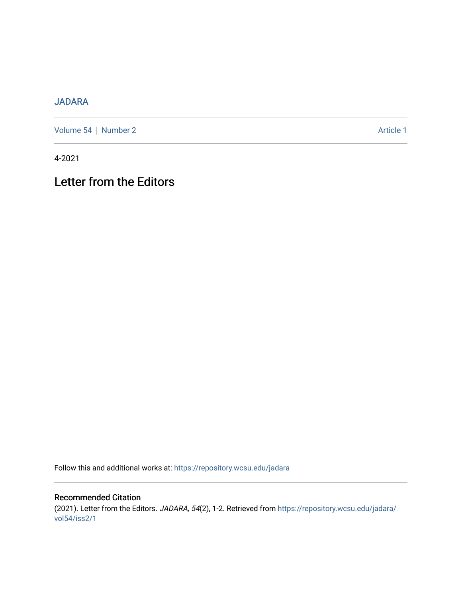## [JADARA](https://repository.wcsu.edu/jadara)

[Volume 54](https://repository.wcsu.edu/jadara/vol54) | [Number 2](https://repository.wcsu.edu/jadara/vol54/iss2) Article 1

4-2021

## Letter from the Editors

Follow this and additional works at: [https://repository.wcsu.edu/jadara](https://repository.wcsu.edu/jadara?utm_source=repository.wcsu.edu%2Fjadara%2Fvol54%2Fiss2%2F1&utm_medium=PDF&utm_campaign=PDFCoverPages)

Recommended Citation (2021). Letter from the Editors. JADARA, 54(2), 1-2. Retrieved from [https://repository.wcsu.edu/jadara/](https://repository.wcsu.edu/jadara/vol54/iss2/1?utm_source=repository.wcsu.edu%2Fjadara%2Fvol54%2Fiss2%2F1&utm_medium=PDF&utm_campaign=PDFCoverPages) [vol54/iss2/1](https://repository.wcsu.edu/jadara/vol54/iss2/1?utm_source=repository.wcsu.edu%2Fjadara%2Fvol54%2Fiss2%2F1&utm_medium=PDF&utm_campaign=PDFCoverPages)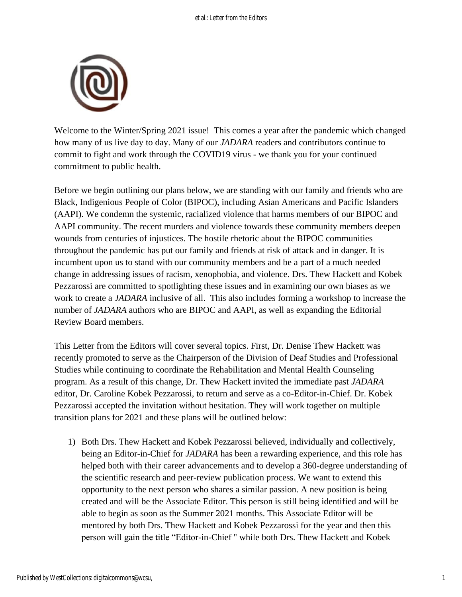

Welcome to the Winter/Spring 2021 issue! This comes a year after the pandemic which changed how many of us live day to day. Many of our *JADARA* readers and contributors continue to commit to fight and work through the COVID19 virus - we thank you for your continued commitment to public health.

Before we begin outlining our plans below, we are standing with our family and friends who are Black, Indigenious People of Color (BIPOC), including Asian Americans and Pacific Islanders (AAPI). We condemn the systemic, racialized violence that harms members of our BIPOC and AAPI community. The recent murders and violence towards these community members deepen wounds from centuries of injustices. The hostile rhetoric about the BIPOC communities throughout the pandemic has put our family and friends at risk of attack and in danger. It is incumbent upon us to stand with our community members and be a part of a much needed change in addressing issues of racism, xenophobia, and violence. Drs. Thew Hackett and Kobek Pezzarossi are committed to spotlighting these issues and in examining our own biases as we work to create a *JADARA* inclusive of all. This also includes forming a workshop to increase the number of *JADARA* authors who are BIPOC and AAPI, as well as expanding the Editorial Review Board members.

This Letter from the Editors will cover several topics. First, Dr. Denise Thew Hackett was recently promoted to serve as the Chairperson of the Division of Deaf Studies and Professional Studies while continuing to coordinate the Rehabilitation and Mental Health Counseling program. As a result of this change, Dr. Thew Hackett invited the immediate past *JADARA* editor, Dr. Caroline Kobek Pezzarossi, to return and serve as a co-Editor-in-Chief. Dr. Kobek Pezzarossi accepted the invitation without hesitation. They will work together on multiple transition plans for 2021 and these plans will be outlined below:

1) Both Drs. Thew Hackett and Kobek Pezzarossi believed, individually and collectively, being an Editor-in-Chief for *JADARA* has been a rewarding experience, and this role has helped both with their career advancements and to develop a 360-degree understanding of the scientific research and peer-review publication process. We want to extend this opportunity to the next person who shares a similar passion. A new position is being created and will be the Associate Editor. This person is still being identified and will be able to begin as soon as the Summer 2021 months. This Associate Editor will be mentored by both Drs. Thew Hackett and Kobek Pezzarossi for the year and then this person will gain the title "Editor-in-Chief '' while both Drs. Thew Hackett and Kobek